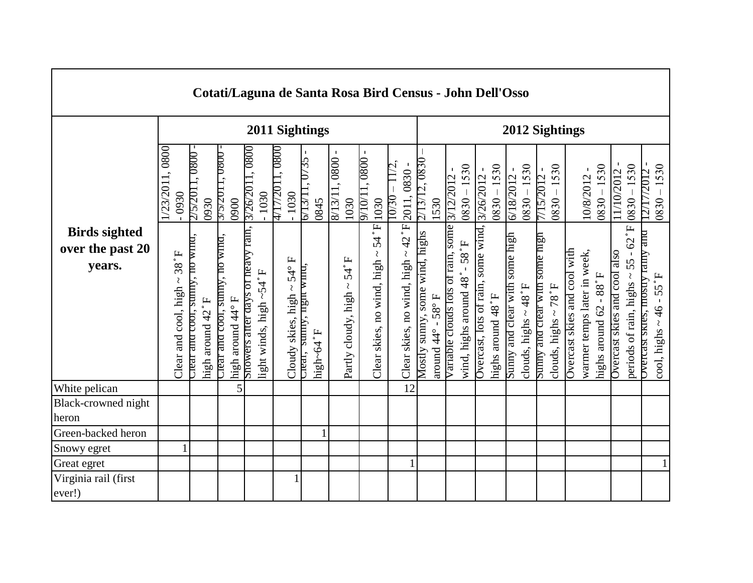|                                                    |                                                 |                                                        |                                                      |                                   |                         |                                                           |                                      |              |                                            | Cotati/Laguna de Santa Rosa Bird Census - John Dell'Osso         |       |                                                                                                     |                                |                                  |                                    |                                                                        |                   |                                |                                     |                                |                                             |                              |                             |                        |                              |                                            |                                                                    |              |
|----------------------------------------------------|-------------------------------------------------|--------------------------------------------------------|------------------------------------------------------|-----------------------------------|-------------------------|-----------------------------------------------------------|--------------------------------------|--------------|--------------------------------------------|------------------------------------------------------------------|-------|-----------------------------------------------------------------------------------------------------|--------------------------------|----------------------------------|------------------------------------|------------------------------------------------------------------------|-------------------|--------------------------------|-------------------------------------|--------------------------------|---------------------------------------------|------------------------------|-----------------------------|------------------------|------------------------------|--------------------------------------------|--------------------------------------------------------------------|--------------|
|                                                    |                                                 |                                                        |                                                      |                                   |                         | 2011 Sightings                                            |                                      |              |                                            |                                                                  |       |                                                                                                     |                                |                                  |                                    |                                                                        |                   |                                |                                     |                                | 2012 Sightings                              |                              |                             |                        |                              |                                            |                                                                    |              |
|                                                    | 1/23/2011,0800<br>$-0930$                       | 0.800<br>2/5/2011<br>0930                              | 3/3/2011, U800<br>0900                               | 3/26/2011, 0800                   | 1030                    | 4/17/2011, 0800<br>1030                                   | 6/13/11, 0/35<br>0845                | 8/13/11,0800 | 1030                                       | 9/10/11,0800<br>1030                                             | 10/30 | 2011, 0830                                                                                          | 2/13/12, 0830                  | 1530                             | 3/12/2012                          | 1530<br>3/26/2012<br>0830                                              | $0830 - 1530$     | 6/18/2012                      | $0830 - 1530$                       | 7/15/2012                      | 1530<br>$-0830$                             |                              | 10/8/2012                   | $0830 - 1530$          | 11/10/2012                   | $-1530$<br>0830                            | 1530<br>/2012<br>$ 0830 -$<br>12/17,                               |              |
| <b>Birds sighted</b><br>over the past 20<br>years. | $38\,^{\circ}$ F<br>Clear and cool, high $\sim$ | Lear and cool, sunny, no wind,<br>H.<br>high around 42 | Liear and cool, sunny, no wind,<br>high around 44° F | Showers after days of heavy rain, | light winds, high ~54°F | 54°F<br>$\mathcal{L}_{\mathcal{L}}$<br>Cloudy skies, high | слеаг, sunny, пgnt wnn,<br>high~64°F |              | $54^{\circ}$ F<br>₹<br>Partly cloudy, high | $\overline{\mathbf{H}}$<br>54<br>₹<br>Clear skies, no wind, high |       | $\mathbf{H}_\bullet$<br>$\overline{4}$<br>$\mathcal{L}_{\mathcal{L}}$<br>Clear skies, no wind, high | Mostly sunny, some wind, highs | around $44^\circ$ - $58^\circ$ F | Variable clouds lots of rain, some | Overcast, lots of rain, some wind,<br>$1.85$<br>wind, highs around 48° | highs around 48°F | Sunny and clear with some high | clouds, highs $\sim$ 48 $\degree$ F | Sunny and clear with some high | clouds, highs $\sim 78\,^{\circ}\mathrm{F}$ | Overcast skies and cool with | warmer temps later in week, | highs around 62 - 88°F | Overcast skies and cool also | H.<br>62<br>55<br>periods of rain, highs ~ | Overcast skies, mostly ramy and<br>55°F<br>cool, highs $\sim$ 46 - |              |
| White pelican                                      |                                                 |                                                        |                                                      | 5                                 |                         |                                                           |                                      |              |                                            |                                                                  |       | 12                                                                                                  |                                |                                  |                                    |                                                                        |                   |                                |                                     |                                |                                             |                              |                             |                        |                              |                                            |                                                                    |              |
| Black-crowned night<br>heron                       |                                                 |                                                        |                                                      |                                   |                         |                                                           |                                      |              |                                            |                                                                  |       |                                                                                                     |                                |                                  |                                    |                                                                        |                   |                                |                                     |                                |                                             |                              |                             |                        |                              |                                            |                                                                    |              |
| Green-backed heron                                 |                                                 |                                                        |                                                      |                                   |                         |                                                           |                                      |              |                                            |                                                                  |       |                                                                                                     |                                |                                  |                                    |                                                                        |                   |                                |                                     |                                |                                             |                              |                             |                        |                              |                                            |                                                                    |              |
| Snowy egret                                        |                                                 |                                                        |                                                      |                                   |                         |                                                           |                                      |              |                                            |                                                                  |       |                                                                                                     |                                |                                  |                                    |                                                                        |                   |                                |                                     |                                |                                             |                              |                             |                        |                              |                                            |                                                                    |              |
| Great egret                                        |                                                 |                                                        |                                                      |                                   |                         |                                                           |                                      |              |                                            |                                                                  |       | $\mathbf{1}$                                                                                        |                                |                                  |                                    |                                                                        |                   |                                |                                     |                                |                                             |                              |                             |                        |                              |                                            |                                                                    | $\mathbf{1}$ |
| Virginia rail (first<br>ever!)                     |                                                 |                                                        |                                                      |                                   |                         | 1                                                         |                                      |              |                                            |                                                                  |       |                                                                                                     |                                |                                  |                                    |                                                                        |                   |                                |                                     |                                |                                             |                              |                             |                        |                              |                                            |                                                                    |              |

 $\mathbf{I}$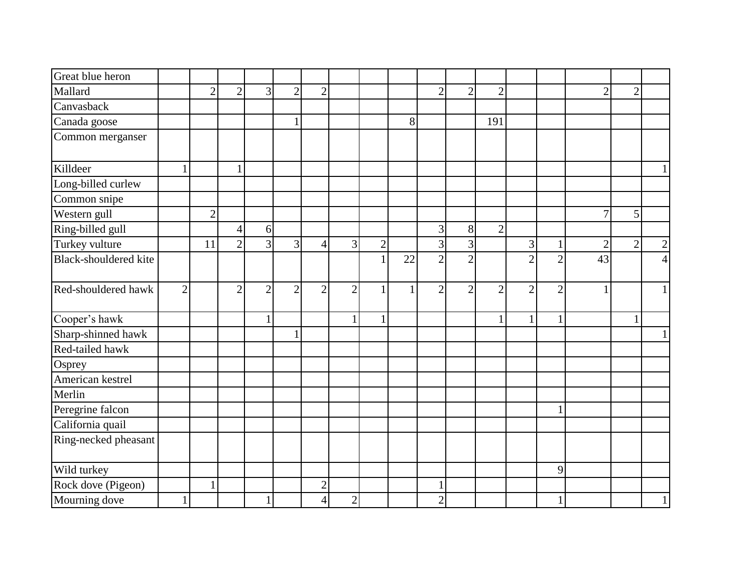| Great blue heron      |                |                |                |                |                |                |                |                |              |                |                             |                |                |                |                |                 |           |
|-----------------------|----------------|----------------|----------------|----------------|----------------|----------------|----------------|----------------|--------------|----------------|-----------------------------|----------------|----------------|----------------|----------------|-----------------|-----------|
| Mallard               |                | $\overline{2}$ | $\overline{2}$ | $\overline{3}$ | $\overline{2}$ | $\overline{2}$ |                |                |              | $\overline{2}$ | $\overline{2}$              | $\overline{2}$ |                |                | $\overline{2}$ | $\overline{2}$  |           |
| Canvasback            |                |                |                |                |                |                |                |                |              |                |                             |                |                |                |                |                 |           |
| Canada goose          |                |                |                |                |                |                |                |                | 8            |                |                             | 191            |                |                |                |                 |           |
| Common merganser      |                |                |                |                |                |                |                |                |              |                |                             |                |                |                |                |                 |           |
| Killdeer              |                |                |                |                |                |                |                |                |              |                |                             |                |                |                |                |                 |           |
| Long-billed curlew    |                |                |                |                |                |                |                |                |              |                |                             |                |                |                |                |                 |           |
| Common snipe          |                |                |                |                |                |                |                |                |              |                |                             |                |                |                |                |                 |           |
| Western gull          |                | $\overline{2}$ |                |                |                |                |                |                |              |                |                             |                |                |                | $\overline{7}$ | $\vert 5 \vert$ |           |
| Ring-billed gull      |                |                | $\overline{4}$ | 6              |                |                |                |                |              | 3              | $8\,$                       | $\overline{2}$ |                |                |                |                 |           |
| Turkey vulture        |                | 11             | $\overline{2}$ | $\overline{3}$ | 3 <sup>l</sup> | $\overline{4}$ | 3 <sup>1</sup> | $\overline{2}$ |              | $\overline{3}$ | 3                           |                | 3              |                | $\overline{2}$ | $\overline{2}$  | 2         |
| Black-shouldered kite |                |                |                |                |                |                |                |                | 22           | $\overline{2}$ | $\mathcal{D}_{\mathcal{L}}$ |                | $\overline{2}$ | $\overline{2}$ | 43             |                 | $\Lambda$ |
| Red-shouldered hawk   | $\overline{2}$ |                | $\overline{2}$ | $\overline{2}$ | $\overline{2}$ | $\overline{2}$ | $\overline{2}$ | $\mathbf{1}$   | $\mathbf{1}$ | $\overline{2}$ | $\overline{2}$              | $\overline{2}$ | $\overline{2}$ | $\overline{2}$ | 1              |                 |           |
| Cooper's hawk         |                |                |                | $\mathbf{1}$   |                |                | -1             | $\mathbf{1}$   |              |                |                             |                | $\mathbf{1}$   | 1              |                |                 |           |
| Sharp-shinned hawk    |                |                |                |                |                |                |                |                |              |                |                             |                |                |                |                |                 |           |
| Red-tailed hawk       |                |                |                |                |                |                |                |                |              |                |                             |                |                |                |                |                 |           |
| Osprey                |                |                |                |                |                |                |                |                |              |                |                             |                |                |                |                |                 |           |
| American kestrel      |                |                |                |                |                |                |                |                |              |                |                             |                |                |                |                |                 |           |
| Merlin                |                |                |                |                |                |                |                |                |              |                |                             |                |                |                |                |                 |           |
| Peregrine falcon      |                |                |                |                |                |                |                |                |              |                |                             |                |                |                |                |                 |           |
| California quail      |                |                |                |                |                |                |                |                |              |                |                             |                |                |                |                |                 |           |
| Ring-necked pheasant  |                |                |                |                |                |                |                |                |              |                |                             |                |                |                |                |                 |           |
| Wild turkey           |                |                |                |                |                |                |                |                |              |                |                             |                |                | 9              |                |                 |           |
| Rock dove (Pigeon)    |                |                |                |                |                | $\overline{2}$ |                |                |              |                |                             |                |                |                |                |                 |           |
| Mourning dove         |                |                |                | $\mathbf{1}$   |                | $\overline{4}$ | $\overline{2}$ |                |              | $\overline{2}$ |                             |                |                |                |                |                 |           |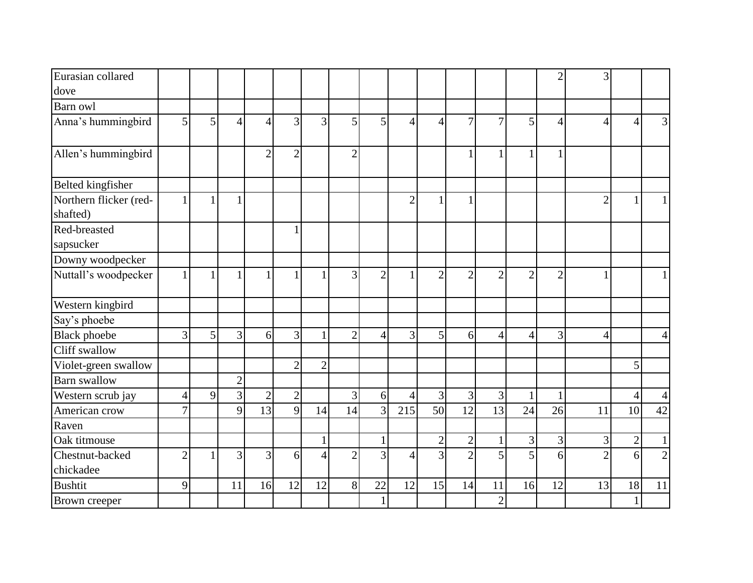| Eurasian collared                  |                |              |                          |                          |                |                |                |                |                |                |                |                  |                | $\overline{2}$ | 3              |                |                |
|------------------------------------|----------------|--------------|--------------------------|--------------------------|----------------|----------------|----------------|----------------|----------------|----------------|----------------|------------------|----------------|----------------|----------------|----------------|----------------|
| dove                               |                |              |                          |                          |                |                |                |                |                |                |                |                  |                |                |                |                |                |
| Barn owl                           |                |              |                          |                          |                |                |                |                |                |                |                |                  |                |                |                |                |                |
| Anna's hummingbird                 | 5              | 5            | $\overline{\mathcal{A}}$ | $\overline{\mathcal{A}}$ | 3              | 3              | 5              | 5              | $\overline{4}$ | $\overline{4}$ | $\overline{7}$ | $\overline{7}$   | 5              | $\overline{4}$ | 4              | 4              | $\overline{3}$ |
| Allen's hummingbird                |                |              |                          | $\overline{2}$           | $\overline{2}$ |                | $\overline{2}$ |                |                |                |                | 1                | 1              | 1              |                |                |                |
| Belted kingfisher                  |                |              |                          |                          |                |                |                |                |                |                |                |                  |                |                |                |                |                |
| Northern flicker (red-<br>shafted) |                |              |                          |                          |                |                |                |                | $\overline{2}$ |                |                |                  |                |                | 2              |                |                |
| Red-breasted<br>sapsucker          |                |              |                          |                          |                |                |                |                |                |                |                |                  |                |                |                |                |                |
| Downy woodpecker                   |                |              |                          |                          |                |                |                |                |                |                |                |                  |                |                |                |                |                |
| Nuttall's woodpecker               |                | $\mathbf{1}$ |                          |                          |                |                | 3              | $\overline{2}$ |                | $\overline{2}$ | $\overline{2}$ | $\overline{2}$   | $\overline{2}$ | $\overline{2}$ |                |                |                |
| Western kingbird                   |                |              |                          |                          |                |                |                |                |                |                |                |                  |                |                |                |                |                |
| Say's phoebe                       |                |              |                          |                          |                |                |                |                |                |                |                |                  |                |                |                |                |                |
| <b>Black</b> phoebe                | 3              | 5            | 3                        | 6                        | 3              |                | $\overline{2}$ | $\overline{4}$ | 3              | 5              | 6              | $\left 4\right $ | $\overline{4}$ | 3              | $\overline{4}$ |                | $\overline{4}$ |
| Cliff swallow                      |                |              |                          |                          |                |                |                |                |                |                |                |                  |                |                |                |                |                |
| Violet-green swallow               |                |              |                          |                          | $\overline{2}$ | $\overline{2}$ |                |                |                |                |                |                  |                |                |                | 5              |                |
| <b>Barn</b> swallow                |                |              | $\overline{2}$           |                          |                |                |                |                |                |                |                |                  |                |                |                |                |                |
| Western scrub jay                  | $\overline{4}$ | 9            | $\overline{3}$           | $\overline{2}$           | $\overline{2}$ |                | $\overline{3}$ | 6              | $\overline{4}$ | $\overline{3}$ | 3              | $\overline{3}$   | 1              | $\mathbf{1}$   |                | $\overline{4}$ | $\overline{4}$ |
| American crow                      | 7              |              | 9                        | 13                       | 9              | 14             | 14             | $\overline{3}$ | 215            | 50             | 12             | 13               | 24             | 26             | 11             | 10             | 42             |
| Raven                              |                |              |                          |                          |                |                |                |                |                |                |                |                  |                |                |                |                |                |
| Oak titmouse                       |                |              |                          |                          |                |                |                |                |                | $\overline{2}$ | $\overline{c}$ | 1                | 3              | 3              | 3              | $\overline{c}$ |                |
| Chestnut-backed<br>chickadee       | $\overline{2}$ | 1            | 3                        | 3                        | 6              | 4              | $\overline{2}$ | 3              | $\overline{4}$ | 3              | $\overline{2}$ | $\overline{5}$   | 5              | 6              | $\overline{2}$ | 6              | $\overline{2}$ |
| <b>Bushtit</b>                     | 9              |              | 11                       | 16                       | 12             | 12             | 8              | 22             | 12             | 15             | 14             | 11               | 16             | 12             | 13             | 18             | 11             |
| Brown creeper                      |                |              |                          |                          |                |                |                | 1              |                |                |                | $\overline{2}$   |                |                |                | $\mathbf{1}$   |                |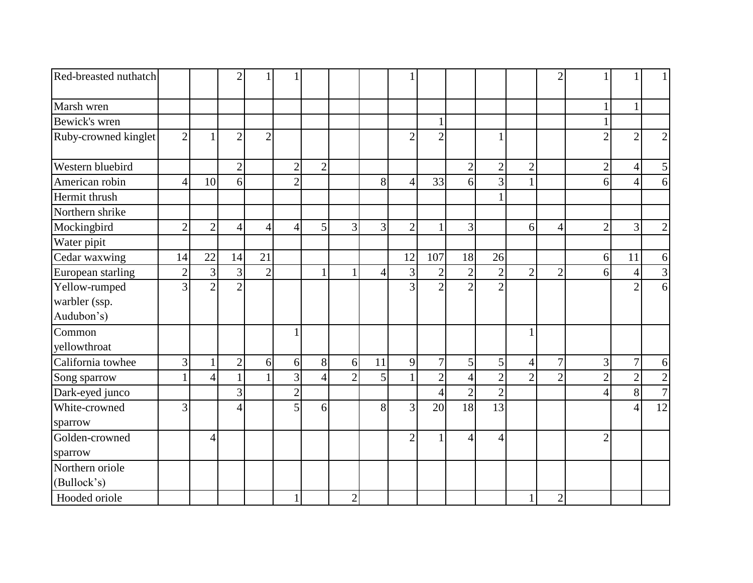| Red-breasted nuthatch |                |                | $\overline{2}$ |                |                |                |                |                |                |                |                |                |                | $\overline{2}$ |                |                |                 |
|-----------------------|----------------|----------------|----------------|----------------|----------------|----------------|----------------|----------------|----------------|----------------|----------------|----------------|----------------|----------------|----------------|----------------|-----------------|
| Marsh wren            |                |                |                |                |                |                |                |                |                |                |                |                |                |                |                |                |                 |
| Bewick's wren         |                |                |                |                |                |                |                |                |                |                |                |                |                |                |                |                |                 |
| Ruby-crowned kinglet  | $\overline{2}$ | $\mathbf{1}$   | $\overline{2}$ | $\overline{2}$ |                |                |                |                | $\overline{2}$ | $\overline{2}$ |                |                |                |                | $\overline{2}$ | $\overline{2}$ | $\overline{2}$  |
| Western bluebird      |                |                | $\overline{2}$ |                | $\overline{2}$ | $\overline{2}$ |                |                |                |                | $\overline{2}$ | $\overline{2}$ | $\overline{2}$ |                | $\overline{2}$ | 4              | 5               |
| American robin        | $\overline{4}$ | 10             | 6              |                | $\overline{2}$ |                |                | 8              | 4              | 33             | 6              | $\overline{3}$ |                |                | 6              | $\overline{4}$ | 6               |
| Hermit thrush         |                |                |                |                |                |                |                |                |                |                |                | 1              |                |                |                |                |                 |
| Northern shrike       |                |                |                |                |                |                |                |                |                |                |                |                |                |                |                |                |                 |
| Mockingbird           | $\overline{2}$ | $\overline{2}$ | $\overline{4}$ | $\overline{4}$ | 4              | 5              | 3              | $\overline{3}$ | $\overline{2}$ |                | 3              |                | 6              | $\overline{4}$ | $\overline{2}$ | 3              | $\mathbf{2}$    |
| Water pipit           |                |                |                |                |                |                |                |                |                |                |                |                |                |                |                |                |                 |
| Cedar waxwing         | 14             | 22             | 14             | 21             |                |                |                |                | 12             | 107            | 18             | 26             |                |                | 6              | 11             | 6               |
| European starling     | $\overline{2}$ | $\overline{3}$ | $\overline{3}$ | $\overline{2}$ |                |                | $\mathbf{1}$   | 4              | 3              | $\overline{2}$ | $\overline{2}$ | $\overline{2}$ | $\overline{2}$ | $\overline{2}$ | 6              | $\overline{4}$ | $\overline{3}$  |
| Yellow-rumped         | 3              | $\overline{2}$ | $\overline{2}$ |                |                |                |                |                | 3              | $\overline{2}$ | $\overline{2}$ | $\mathfrak{D}$ |                |                |                | $\overline{2}$ | 6 <sup>1</sup>  |
| warbler (ssp.         |                |                |                |                |                |                |                |                |                |                |                |                |                |                |                |                |                 |
| Audubon's)            |                |                |                |                |                |                |                |                |                |                |                |                |                |                |                |                |                 |
| Common                |                |                |                |                |                |                |                |                |                |                |                |                |                |                |                |                |                 |
| yellowthroat          |                |                |                |                |                |                |                |                |                |                |                |                |                |                |                |                |                 |
| California towhee     | 3              | $\mathbf{1}$   | $\overline{2}$ | 6              | 6              | 8              | 6              | 11             | 9              | $\overline{7}$ | 5              | 5 <sup>1</sup> | $\overline{4}$ | 7              | 3              | $\overline{7}$ | $\vert 6 \vert$ |
| Song sparrow          |                | $\overline{4}$ | $\mathbf{1}$   |                | $\overline{3}$ | 4              | $\overline{2}$ | 5              | $\mathbf{1}$   | $\overline{2}$ | $\overline{4}$ | $\overline{2}$ | $\overline{2}$ | $\overline{2}$ | $\overline{2}$ | $\overline{2}$ | $\overline{2}$  |
| Dark-eyed junco       |                |                | 3              |                | $\overline{2}$ |                |                |                |                | $\overline{4}$ | $\overline{2}$ | $\overline{2}$ |                |                | 4              | 8              | $\overline{7}$  |
| White-crowned         | 3              |                | $\overline{4}$ |                | 5              | 6              |                | 8              | 3              | 20             | 18             | 13             |                |                |                | $\overline{4}$ | 12              |
| sparrow               |                |                |                |                |                |                |                |                |                |                |                |                |                |                |                |                |                 |
| Golden-crowned        |                | $\overline{4}$ |                |                |                |                |                |                | $\overline{2}$ |                | 4              | $\overline{4}$ |                |                | $\overline{2}$ |                |                 |
| sparrow               |                |                |                |                |                |                |                |                |                |                |                |                |                |                |                |                |                 |
| Northern oriole       |                |                |                |                |                |                |                |                |                |                |                |                |                |                |                |                |                 |
| (Bullock's)           |                |                |                |                |                |                |                |                |                |                |                |                |                |                |                |                |                 |
| Hooded oriole         |                |                |                |                |                |                | $\overline{2}$ |                |                |                |                |                | $\mathbf{1}$   | $\mathbf{2}$   |                |                |                 |